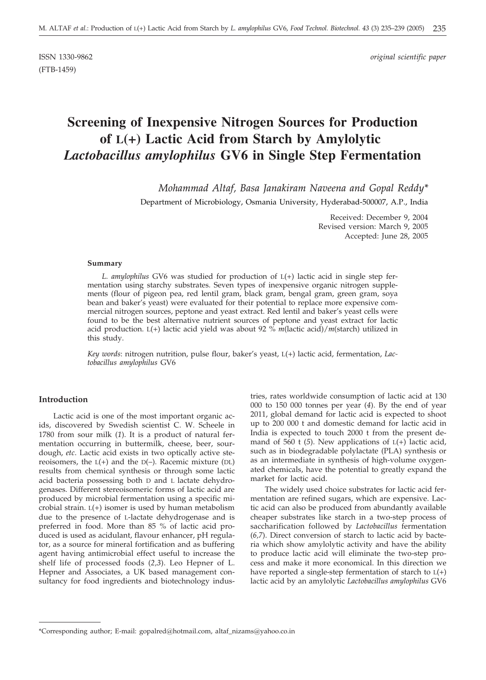(FTB-1459)

ISSN 1330-9862 *original scientific paper*

# **Screening of Inexpensive Nitrogen Sources for Production of L(+) Lactic Acid from Starch by Amylolytic** *Lactobacillus amylophilus* **GV6 in Single Step Fermentation**

*Mohammad Altaf, Basa Janakiram Naveena and Gopal Reddy\**

Department of Microbiology, Osmania University, Hyderabad-500007, A.P., India

Received: December 9, 2004 Revised version: March 9, 2005 Accepted: June 28, 2005

#### **Summary**

*L. amylophilus* GV6 was studied for production of L(+) lactic acid in single step fermentation using starchy substrates. Seven types of inexpensive organic nitrogen supplements (flour of pigeon pea, red lentil gram, black gram, bengal gram, green gram, soya bean and baker's yeast) were evaluated for their potential to replace more expensive commercial nitrogen sources, peptone and yeast extract. Red lentil and baker's yeast cells were found to be the best alternative nutrient sources of peptone and yeast extract for lactic acid production. L(+) lactic acid yield was about 92 % *m*(lactic acid)/*m*(starch) utilized in this study.

*Key words*: nitrogen nutrition, pulse flour, baker's yeast, L(+) lactic acid, fermentation, *Lactobacillus amylophilus* GV6

## **Introduction**

Lactic acid is one of the most important organic acids, discovered by Swedish scientist C. W. Scheele in 1780 from sour milk (*1*). It is a product of natural fermentation occurring in buttermilk, cheese, beer, sourdough, *etc*. Lactic acid exists in two optically active stereoisomers, the  $L(+)$  and the  $D(-)$ . Racemic mixture (DL) results from chemical synthesis or through some lactic acid bacteria possessing both D and L lactate dehydrogenases. Different stereoisomeric forms of lactic acid are produced by microbial fermentation using a specific microbial strain.  $L(+)$  isomer is used by human metabolism due to the presence of L-lactate dehydrogenase and is preferred in food. More than 85 % of lactic acid produced is used as acidulant, flavour enhancer, pH regulator, as a source for mineral fortification and as buffering agent having antimicrobial effect useful to increase the shelf life of processed foods (*2,3*). Leo Hepner of L. Hepner and Associates, a UK based management consultancy for food ingredients and biotechnology indus-

tries, rates worldwide consumption of lactic acid at 130 000 to 150 000 tonnes per year (*4*). By the end of year 2011, global demand for lactic acid is expected to shoot up to 200 000 t and domestic demand for lactic acid in India is expected to touch 2000 t from the present demand of 560 t (*5*). New applications of L(+) lactic acid, such as in biodegradable polylactate (PLA) synthesis or as an intermediate in synthesis of high-volume oxygenated chemicals, have the potential to greatly expand the market for lactic acid.

The widely used choice substrates for lactic acid fermentation are refined sugars, which are expensive. Lactic acid can also be produced from abundantly available cheaper substrates like starch in a two-step process of saccharification followed by *Lactobacillus* fermentation (*6,7*). Direct conversion of starch to lactic acid by bacteria which show amylolytic activity and have the ability to produce lactic acid will eliminate the two-step process and make it more economical. In this direction we have reported a single-step fermentation of starch to  $L(+)$ lactic acid by an amylolytic *Lactobacillus amylophilus* GV6

<sup>\*</sup>Corresponding author; E-mail: gopalred@hotmail.com, altaf\_nizams@yahoo.co.in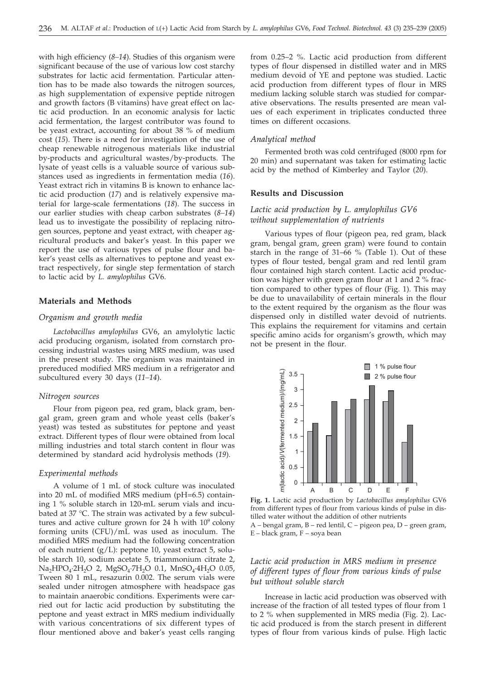with high efficiency (*8–14*). Studies of this organism were significant because of the use of various low cost starchy substrates for lactic acid fermentation. Particular attention has to be made also towards the nitrogen sources, as high supplementation of expensive peptide nitrogen and growth factors (B vitamins) have great effect on lactic acid production. In an economic analysis for lactic acid fermentation, the largest contributor was found to be yeast extract, accounting for about 38 % of medium cost (*15*). There is a need for investigation of the use of cheap renewable nitrogenous materials like industrial by-products and agricultural wastes/by-products. The lysate of yeast cells is a valuable source of various substances used as ingredients in fermentation media (*16*). Yeast extract rich in vitamins B is known to enhance lactic acid production (*17*) and is relatively expensive material for large-scale fermentations (*18*). The success in our earlier studies with cheap carbon substrates (*8–14*) lead us to investigate the possibility of replacing nitrogen sources, peptone and yeast extract, with cheaper agricultural products and baker's yeast. In this paper we report the use of various types of pulse flour and baker's yeast cells as alternatives to peptone and yeast extract respectively, for single step fermentation of starch to lactic acid by *L. amylophilus* GV6.

#### **Materials and Methods**

## *Organism and growth media*

*Lactobacillus amylophilus* GV6, an amylolytic lactic acid producing organism, isolated from cornstarch processing industrial wastes using MRS medium, was used in the present study. The organism was maintained in prereduced modified MRS medium in a refrigerator and subcultured every 30 days (*11–14*).

#### *Nitrogen sources*

Flour from pigeon pea, red gram, black gram, bengal gram, green gram and whole yeast cells (baker's yeast) was tested as substitutes for peptone and yeast extract. Different types of flour were obtained from local milling industries and total starch content in flour was determined by standard acid hydrolysis methods (*19*).

#### *Experimental methods*

A volume of 1 mL of stock culture was inoculated into 20 mL of modified MRS medium (pH=6.5) containing 1 % soluble starch in 120-mL serum vials and incubated at 37 °C. The strain was activated by a few subcultures and active culture grown for 24 h with  $10^9$  colony forming units (CFU)/mL was used as inoculum. The modified MRS medium had the following concentration of each nutrient (g/L): peptone 10, yeast extract 5, soluble starch 10, sodium acetate 5, triammonium citrate 2,  $Na<sub>2</sub>HPO<sub>4</sub>·2H<sub>2</sub>O$  2,  $MgSO<sub>4</sub>·7H<sub>2</sub>O$  0.1,  $MnSO<sub>4</sub>·4H<sub>2</sub>O$  0.05, Tween 80 1 mL, resazurin 0.002. The serum vials were sealed under nitrogen atmosphere with headspace gas to maintain anaerobic conditions. Experiments were carried out for lactic acid production by substituting the peptone and yeast extract in MRS medium individually with various concentrations of six different types of flour mentioned above and baker's yeast cells ranging

from 0.25–2 %. Lactic acid production from different types of flour dispensed in distilled water and in MRS medium devoid of YE and peptone was studied. Lactic acid production from different types of flour in MRS medium lacking soluble starch was studied for comparative observations. The results presented are mean values of each experiment in triplicates conducted three times on different occasions.

## *Analytical method*

Fermented broth was cold centrifuged (8000 rpm for 20 min) and supernatant was taken for estimating lactic acid by the method of Kimberley and Taylor (*20*).

#### **Results and Discussion**

## *Lactic acid production by L. amylophilus GV6 without supplementation of nutrients*

Various types of flour (pigeon pea, red gram, black gram, bengal gram, green gram) were found to contain starch in the range of 31–66 % (Table 1). Out of these types of flour tested, bengal gram and red lentil gram flour contained high starch content. Lactic acid production was higher with green gram flour at 1 and 2 % fraction compared to other types of flour (Fig. 1). This may be due to unavailability of certain minerals in the flour to the extent required by the organism as the flour was dispensed only in distilled water devoid of nutrients. This explains the requirement for vitamins and certain specific amino acids for organism's growth, which may not be present in the flour.



**Fig. 1.** Lactic acid production by *Lactobacillus amylophilus* GV6 from different types of flour from various kinds of pulse in distilled water without the addition of other nutrients A – bengal gram, B – red lentil, C – pigeon pea, D – green gram, E – black gram, F – soya bean

## *Lactic acid production in MRS medium in presence of different types of flour from various kinds of pulse but without soluble starch*

Increase in lactic acid production was observed with increase of the fraction of all tested types of flour from 1 to 2 % when supplemented in MRS media (Fig. 2). Lactic acid produced is from the starch present in different types of flour from various kinds of pulse. High lactic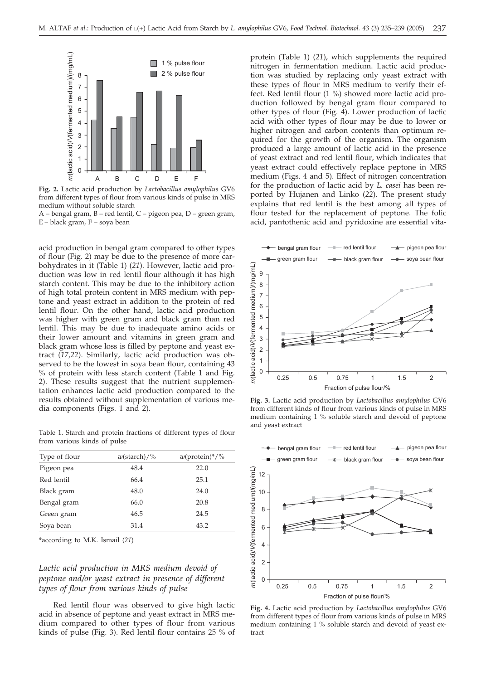

**Fig. 2.** Lactic acid production by *Lactobacillus amylophilus* GV6 from different types of flour from various kinds of pulse in MRS medium without soluble starch

A – bengal gram, B – red lentil, C – pigeon pea, D – green gram, E – black gram, F – soya bean

acid production in bengal gram compared to other types of flour (Fig. 2) may be due to the presence of more carbohydrates in it (Table 1) (*21*). However, lactic acid production was low in red lentil flour although it has high starch content. This may be due to the inhibitory action of high total protein content in MRS medium with peptone and yeast extract in addition to the protein of red lentil flour. On the other hand, lactic acid production was higher with green gram and black gram than red lentil. This may be due to inadequate amino acids or their lower amount and vitamins in green gram and black gram whose loss is filled by peptone and yeast extract (*17,22*). Similarly, lactic acid production was observed to be the lowest in soya bean flour, containing 43 % of protein with less starch content (Table 1 and Fig. 2). These results suggest that the nutrient supplementation enhances lactic acid production compared to the results obtained without supplementation of various media components (Figs. 1 and 2).

Table 1. Starch and protein fractions of different types of flour from various kinds of pulse

| Type of flour | $w(\text{starch})/\%$ | $w(\text{protein})^*/\%$ |
|---------------|-----------------------|--------------------------|
| Pigeon pea    | 48.4                  | 22.0                     |
| Red lentil    | 66.4                  | 25.1                     |
| Black gram    | 48.0                  | 24.0                     |
| Bengal gram   | 66.0                  | 20.8                     |
| Green gram    | 46.5                  | 24.5                     |
| Sova bean     | 31.4                  | 43.2                     |

**\***according to M.K. Ismail (*21*)

## *Lactic acid production in MRS medium devoid of peptone and/or yeast extract in presence of different types of flour from various kinds of pulse*

Red lentil flour was observed to give high lactic acid in absence of peptone and yeast extract in MRS medium compared to other types of flour from various kinds of pulse (Fig. 3). Red lentil flour contains 25 % of protein (Table 1) (*21*), which supplements the required nitrogen in fermentation medium. Lactic acid production was studied by replacing only yeast extract with these types of flour in MRS medium to verify their effect. Red lentil flour (1 %) showed more lactic acid production followed by bengal gram flour compared to other types of flour (Fig. 4). Lower production of lactic acid with other types of flour may be due to lower or higher nitrogen and carbon contents than optimum required for the growth of the organism. The organism produced a large amount of lactic acid in the presence of yeast extract and red lentil flour, which indicates that yeast extract could effectively replace peptone in MRS medium (Figs. 4 and 5). Effect of nitrogen concentration for the production of lactic acid by *L. casei* has been reported by Hujanen and Linko (*22*). The present study explains that red lentil is the best among all types of flour tested for the replacement of peptone. The folic acid, pantothenic acid and pyridoxine are essential vita-



**Fig. 3.** Lactic acid production by *Lactobacillus amylophilus* GV6 from different kinds of flour from various kinds of pulse in MRS medium containing 1 % soluble starch and devoid of peptone and yeast extract



**Fig. 4.** Lactic acid production by *Lactobacillus amylophilus* GV6 from different types of flour from various kinds of pulse in MRS medium containing 1 % soluble starch and devoid of yeast extract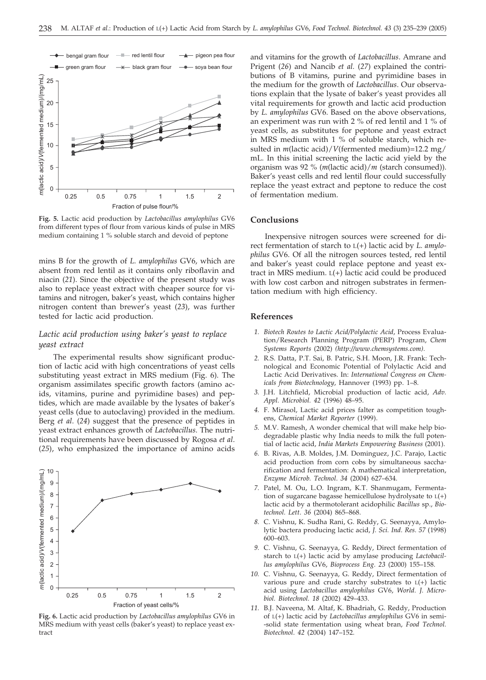

**Fig. 5.** Lactic acid production by *Lactobacillus amylophilus* GV6 from different types of flour from various kinds of pulse in MRS medium containing 1 % soluble starch and devoid of peptone

mins B for the growth of *L. amylophilus* GV6, which are absent from red lentil as it contains only riboflavin and niacin (*21*). Since the objective of the present study was also to replace yeast extract with cheaper source for vitamins and nitrogen, baker's yeast, which contains higher nitrogen content than brewer's yeast (*23*), was further tested for lactic acid production.

## *Lactic acid production using baker's yeast to replace yeast extract*

The experimental results show significant production of lactic acid with high concentrations of yeast cells substituting yeast extract in MRS medium (Fig. 6). The organism assimilates specific growth factors (amino acids, vitamins, purine and pyrimidine bases) and peptides, which are made available by the lysates of baker's yeast cells (due to autoclaving) provided in the medium. Berg *et al*. (*24*) suggest that the presence of peptides in yeast extract enhances growth of *Lactobacillus*. The nutritional requirements have been discussed by Rogosa *et al*. (*25*), who emphasized the importance of amino acids



**Fig. 6.** Lactic acid production by *Lactobacillus amylophilus* GV6 in MRS medium with yeast cells (baker's yeast) to replace yeast extract

and vitamins for the growth of *Lactobacillus*. Amrane and Prigent (*26*) and Nancib *et al.* (*27*) explained the contributions of B vitamins, purine and pyrimidine bases in the medium for the growth of *Lactobacillus*. Our observations explain that the lysate of baker's yeast provides all vital requirements for growth and lactic acid production by *L. amylophilus* GV6. Based on the above observations, an experiment was run with 2 % of red lentil and 1 % of yeast cells, as substitutes for peptone and yeast extract in MRS medium with 1 % of soluble starch, which resulted in *m*(lactic acid)/*V*(fermented medium)=12.2 mg/ mL. In this initial screening the lactic acid yield by the organism was 92 % (*m*(lactic acid)/*m* (starch consumed)). Baker's yeast cells and red lentil flour could successfully replace the yeast extract and peptone to reduce the cost of fermentation medium.

### **Conclusions**

Inexpensive nitrogen sources were screened for direct fermentation of starch to L(+) lactic acid by *L. amylophilus* GV6. Of all the nitrogen sources tested, red lentil and baker's yeast could replace peptone and yeast extract in MRS medium. L(+) lactic acid could be produced with low cost carbon and nitrogen substrates in fermentation medium with high efficiency.

#### **References**

- *1. Biotech Routes to Lactic Acid/Polylactic Acid*, Process Evaluation/Research Planning Program (PERP) Program, *Chem Systems Reports* (2002) *(http://www.chemsystems.com).*
- *2.* R.S. Datta, P.T. Sai, B. Patric, S.H. Moon, J.R. Frank: Technological and Economic Potential of Polylactic Acid and Lactic Acid Derivatives. In: *International Congress on Chemicals from Biotechnology*, Hannover (1993) pp. 1–8.
- *3.* J.H. Litchfield, Microbial production of lactic acid, *Adv. Appl. Microbiol. 42* (1996) 48–95.
- *4.* F. Mirasol, Lactic acid prices falter as competition toughens, *Chemical Market Reporter* (1999).
- *5.* M.V. Ramesh, A wonder chemical that will make help biodegradable plastic why India needs to milk the full potential of lactic acid, *India Markets Empowering Business* (2001).
- *6.* B. Rivas, A.B. Moldes, J.M. Dominguez, J.C. Parajo, Lactic acid production from corn cobs by simultaneous saccharification and fermentation: A mathematical interpretation, *Enzyme Microb. Technol*. *34* (2004) 627–634.
- *7.* Patel, M. Ou, L.O. Ingram, K.T. Shanmugam, Fermentation of sugarcane bagasse hemicellulose hydrolysate to L(+) lactic acid by a thermotolerant acidophilic *Bacillus* sp., *Biotechnol. Lett*. *36* (2004) 865–868.
- *8.* C. Vishnu, K. Sudha Rani, G. Reddy, G. Seenayya, Amylolytic bactera producing lactic acid, *J. Sci. Ind. Res. 57* (1998) 600–603.
- *9.* C. Vishnu, G. Seenayya, G. Reddy, Direct fermentation of starch to L(+) lactic acid by amylase producing *Lactobacillus amylophilus* GV6, *Bioprocess Eng. 23* (2000) 155–158.
- *10.* C. Vishnu, G. Seenayya, G. Reddy, Direct fermentation of various pure and crude starchy substrates to  $L(+)$  lactic acid using *Lactobacillus amylophilus* GV6, *World. J. Microbiol. Biotechnol. 18* (2002) 429–433.
- *11.* B.J. Naveena, M. Altaf, K. Bhadriah, G. Reddy, Production of L(+) lactic acid by *Lactobacillus amylophilus* GV6 in semi- -solid state fermentation using wheat bran, *Food Technol. Biotechnol*. *42* (2004) 147–152.